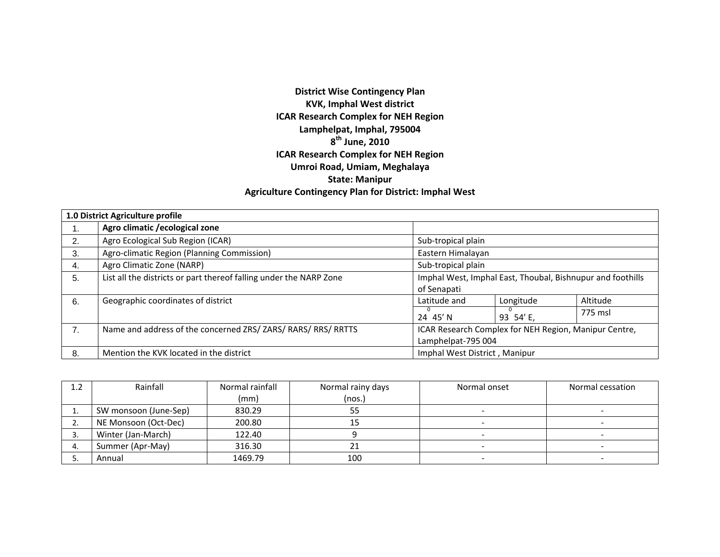# **District Wise Contingency Plan KVK, Imphal West district ICAR Research Complex for NEH Region Lamphelpat, Imphal, 795004 <sup>8</sup>th June, <sup>2010</sup> ICAR Research Complex for NEH Region Umroi Road, Umiam, Meghalaya State: Manipur Agriculture Contingency Plan for District: Imphal West**

|    | 1.0 District Agriculture profile                                   |                               |           |                                                            |
|----|--------------------------------------------------------------------|-------------------------------|-----------|------------------------------------------------------------|
| ι. | Agro climatic / ecological zone                                    |                               |           |                                                            |
| 2. | Agro Ecological Sub Region (ICAR)                                  | Sub-tropical plain            |           |                                                            |
| 3. | Agro-climatic Region (Planning Commission)                         | Eastern Himalayan             |           |                                                            |
| 4. | Agro Climatic Zone (NARP)                                          | Sub-tropical plain            |           |                                                            |
| 5. | List all the districts or part thereof falling under the NARP Zone |                               |           | Imphal West, Imphal East, Thoubal, Bishnupur and foothills |
|    |                                                                    | of Senapati                   |           |                                                            |
| 6. | Geographic coordinates of district                                 | Latitude and                  | Longitude | Altitude                                                   |
|    |                                                                    | 24 45' N                      | 93 54'E,  | 775 msl                                                    |
| 7. | Name and address of the concerned ZRS/ ZARS/ RARS/ RRS/ RRTTS      |                               |           | ICAR Research Complex for NEH Region, Manipur Centre,      |
|    |                                                                    | Lamphelpat-795 004            |           |                                                            |
| 8. | Mention the KVK located in the district                            | Imphal West District, Manipur |           |                                                            |

| 1.2     | Rainfall              | Normal rainfall | Normal rainy days | Normal onset | Normal cessation |
|---------|-----------------------|-----------------|-------------------|--------------|------------------|
|         |                       | (mm)            | (nos.)            |              |                  |
|         | SW monsoon (June-Sep) | 830.29          | 55                |              |                  |
| <u></u> | NE Monsoon (Oct-Dec)  | 200.80          | ᅩ                 |              |                  |
|         | Winter (Jan-March)    | 122.40          |                   |              |                  |
|         | Summer (Apr-May)      | 316.30          | z.                |              |                  |
|         | Annual                | 1469.79         | 100               |              |                  |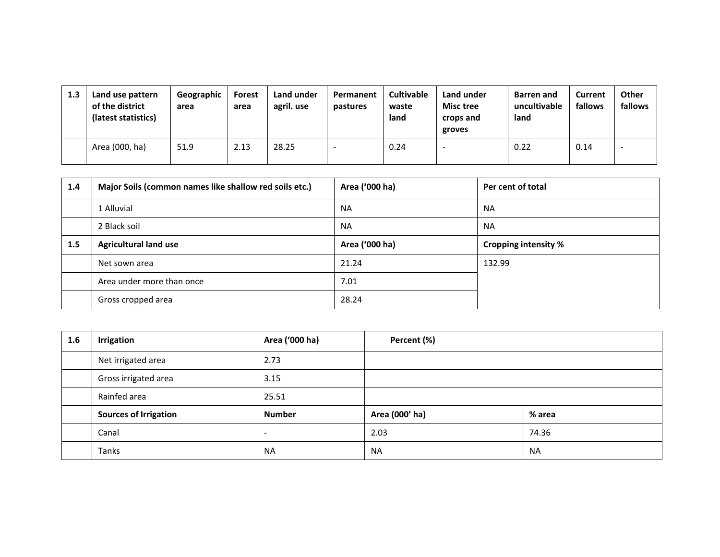| 1.3 | Land use pattern<br>of the district<br>(latest statistics) | Geographic<br>area | Forest<br>area | Land under<br>agril. use | Permanent<br>pastures | <b>Cultivable</b><br>waste<br>land | Land under<br><b>Misc tree</b><br>crops and<br>groves | <b>Barren and</b><br>uncultivable<br>land | <b>Current</b><br>fallows | <b>Other</b><br>fallows  |
|-----|------------------------------------------------------------|--------------------|----------------|--------------------------|-----------------------|------------------------------------|-------------------------------------------------------|-------------------------------------------|---------------------------|--------------------------|
|     | Area (000, ha)                                             | 51.9               | 2.13           | 28.25                    |                       | 0.24                               | . .                                                   | 0.22                                      | 0.14                      | $\overline{\phantom{0}}$ |

| 1.4 | Major Soils (common names like shallow red soils etc.) | Area ('000 ha) | Per cent of total           |
|-----|--------------------------------------------------------|----------------|-----------------------------|
|     | 1 Alluvial                                             | <b>NA</b>      | <b>NA</b>                   |
|     | 2 Black soil                                           | <b>NA</b>      | <b>NA</b>                   |
| 1.5 | <b>Agricultural land use</b>                           | Area ('000 ha) | <b>Cropping intensity %</b> |
|     | Net sown area                                          | 21.24          | 132.99                      |
|     | Area under more than once                              | 7.01           |                             |
|     | Gross cropped area                                     | 28.24          |                             |

| 1.6 | Irrigation                   | Area ('000 ha)           | Percent (%)    |           |
|-----|------------------------------|--------------------------|----------------|-----------|
|     | Net irrigated area           | 2.73                     |                |           |
|     | Gross irrigated area         | 3.15                     |                |           |
|     | Rainfed area                 | 25.51                    |                |           |
|     | <b>Sources of Irrigation</b> | <b>Number</b>            | Area (000' ha) | % area    |
|     | Canal                        | $\overline{\phantom{0}}$ | 2.03           | 74.36     |
|     | Tanks                        | <b>NA</b>                | <b>NA</b>      | <b>NA</b> |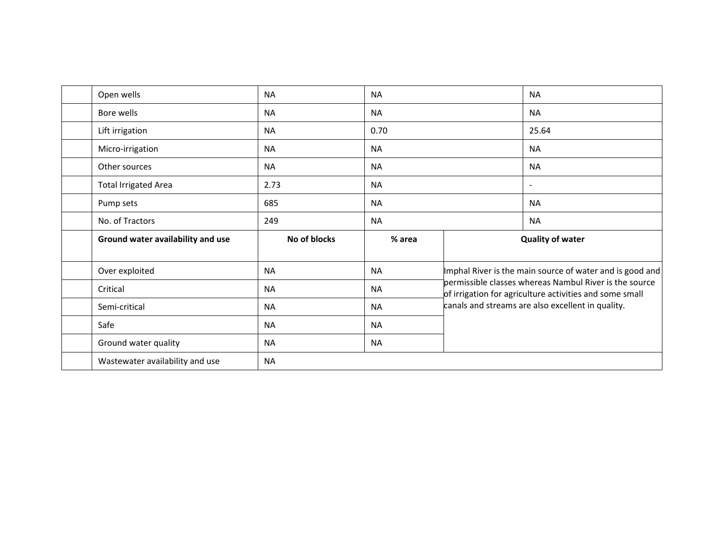| Open wells                        | <b>NA</b>    | <b>NA</b> | <b>NA</b>                                                                                                    |
|-----------------------------------|--------------|-----------|--------------------------------------------------------------------------------------------------------------|
| Bore wells                        | <b>NA</b>    | <b>NA</b> | <b>NA</b>                                                                                                    |
| Lift irrigation                   | <b>NA</b>    | 0.70      | 25.64                                                                                                        |
| Micro-irrigation                  | <b>NA</b>    | <b>NA</b> | <b>NA</b>                                                                                                    |
| Other sources                     | <b>NA</b>    | <b>NA</b> | <b>NA</b>                                                                                                    |
| <b>Total Irrigated Area</b>       | 2.73         | <b>NA</b> | $\blacksquare$                                                                                               |
| Pump sets                         | 685          | <b>NA</b> | <b>NA</b>                                                                                                    |
| No. of Tractors                   | 249          | <b>NA</b> | <b>NA</b>                                                                                                    |
|                                   |              |           |                                                                                                              |
| Ground water availability and use | No of blocks | % area    | <b>Quality of water</b>                                                                                      |
| Over exploited                    | <b>NA</b>    | <b>NA</b> | Imphal River is the main source of water and is good and                                                     |
| Critical                          | <b>NA</b>    | <b>NA</b> | permissible classes whereas Nambul River is the source                                                       |
| Semi-critical                     | <b>NA</b>    | <b>NA</b> | of irrigation for agriculture activities and some small<br>canals and streams are also excellent in quality. |
| Safe                              | <b>NA</b>    | <b>NA</b> |                                                                                                              |
| Ground water quality              | <b>NA</b>    | <b>NA</b> |                                                                                                              |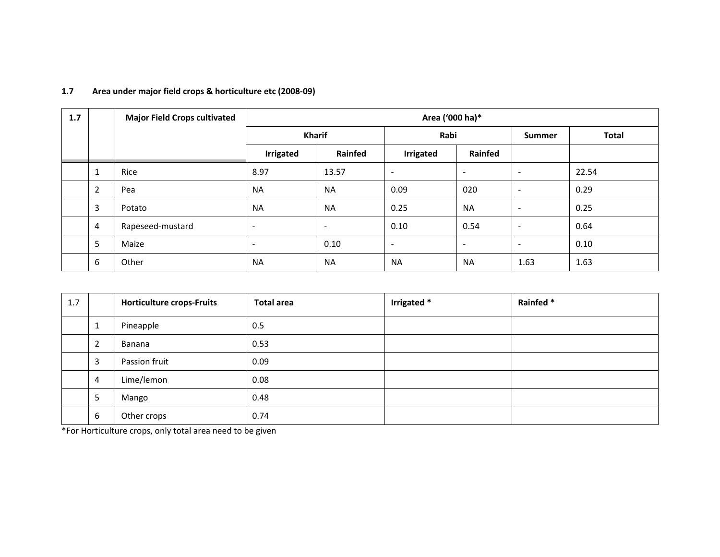| 1.7 |                | <b>Major Field Crops cultivated</b> | Area ('000 ha)*          |                          |                          |                          |                          |              |
|-----|----------------|-------------------------------------|--------------------------|--------------------------|--------------------------|--------------------------|--------------------------|--------------|
|     |                |                                     |                          | <b>Kharif</b>            |                          | Rabi                     |                          | <b>Total</b> |
|     |                |                                     | <b>Irrigated</b>         | <b>Rainfed</b>           | <b>Irrigated</b>         | Rainfed                  |                          |              |
|     | 1              | Rice                                | 8.97                     | 13.57                    | $\overline{\phantom{a}}$ | $\overline{\phantom{a}}$ | $\sim$                   | 22.54        |
|     | $\overline{2}$ | Pea                                 | <b>NA</b>                | <b>NA</b>                | 0.09                     | 020                      | $\overline{\phantom{a}}$ | 0.29         |
|     | 3              | Potato                              | <b>NA</b>                | <b>NA</b>                | 0.25                     | <b>NA</b>                | $\overline{\phantom{0}}$ | 0.25         |
|     | 4              | Rapeseed-mustard                    | $\overline{\phantom{a}}$ | $\overline{\phantom{a}}$ | 0.10                     | 0.54                     | $\overline{\phantom{a}}$ | 0.64         |
|     | 5              | Maize                               | $\blacksquare$           | 0.10                     | $\overline{\phantom{a}}$ | $\overline{\phantom{a}}$ | $\overline{\phantom{a}}$ | 0.10         |
|     | 6              | Other                               | <b>NA</b>                | <b>NA</b>                | <b>NA</b>                | <b>NA</b>                | 1.63                     | 1.63         |

#### **1.7Area under major field crops & horticulture etc (2008‐09)**

| 1.7 |                | <b>Horticulture crops-Fruits</b> | <b>Total area</b> | Irrigated * | Rainfed * |
|-----|----------------|----------------------------------|-------------------|-------------|-----------|
|     | 1              | Pineapple                        | 0.5               |             |           |
|     | $\overline{2}$ | Banana                           | 0.53              |             |           |
|     | 3              | Passion fruit                    | 0.09              |             |           |
|     | 4              | Lime/lemon                       | 0.08              |             |           |
|     | 5              | Mango                            | 0.48              |             |           |
|     | 6              | Other crops                      | 0.74              |             |           |

\*For Horticulture crops, only total area need to be given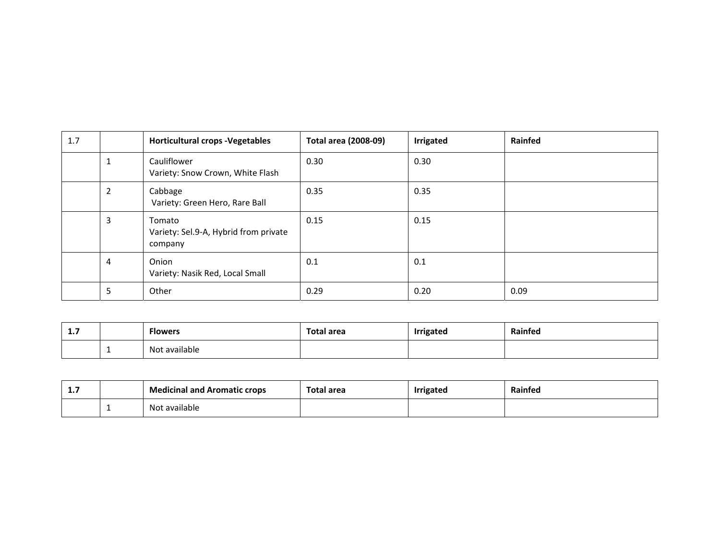| 1.7 |                | <b>Horticultural crops - Vegetables</b>                    | <b>Total area (2008-09)</b> | <b>Irrigated</b> | Rainfed |
|-----|----------------|------------------------------------------------------------|-----------------------------|------------------|---------|
|     | 1              | Cauliflower<br>Variety: Snow Crown, White Flash            | 0.30                        | 0.30             |         |
|     | $\overline{2}$ | Cabbage<br>Variety: Green Hero, Rare Ball                  | 0.35                        | 0.35             |         |
|     | $\mathbf{3}$   | Tomato<br>Variety: Sel.9-A, Hybrid from private<br>company | 0.15                        | 0.15             |         |
|     | 4              | Onion<br>Variety: Nasik Red, Local Small                   | 0.1                         | 0.1              |         |
|     | 5              | Other                                                      | 0.29                        | 0.20             | 0.09    |

| - 15<br><b>L./</b> | <b>Flowers</b>     | Total area | Irriaatod | Rainfed |
|--------------------|--------------------|------------|-----------|---------|
|                    | t available<br>N∩t |            |           |         |

| -4<br>. | <b>Medicinal and Aromatic crops</b> | Total area | <b>Irrigated</b> | Rainted |
|---------|-------------------------------------|------------|------------------|---------|
|         | t available<br>Not                  |            |                  |         |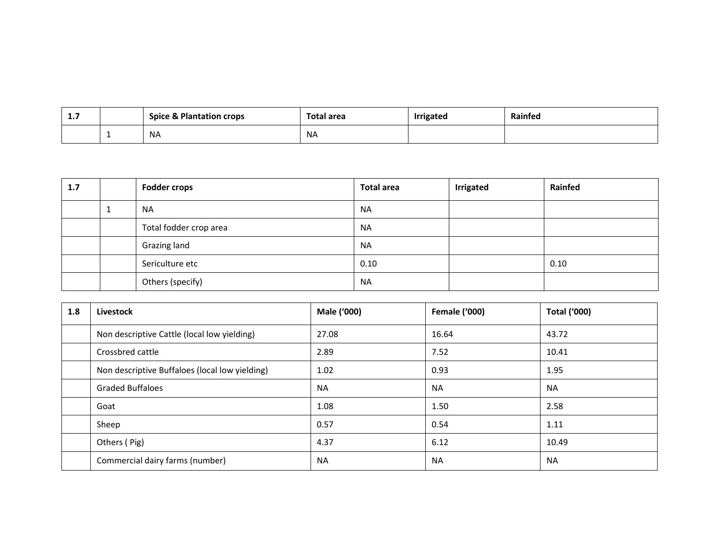| <b></b> | <b>Spice &amp; Plantation crops</b> | Total area | rigated | Rainted |
|---------|-------------------------------------|------------|---------|---------|
|         | NA                                  | <b>NA</b>  |         |         |

| 1.7 |   | <b>Fodder crops</b>    | <b>Total area</b> | Irrigated | Rainfed |
|-----|---|------------------------|-------------------|-----------|---------|
|     | ட | <b>NA</b>              | <b>NA</b>         |           |         |
|     |   | Total fodder crop area | <b>NA</b>         |           |         |
|     |   | Grazing land           | <b>NA</b>         |           |         |
|     |   | Sericulture etc        | 0.10              |           | 0.10    |
|     |   | Others (specify)       | <b>NA</b>         |           |         |

| 1.8 | Livestock                                      | Male ('000) | <b>Female ('000)</b> | <b>Total ('000)</b> |
|-----|------------------------------------------------|-------------|----------------------|---------------------|
|     | Non descriptive Cattle (local low yielding)    | 27.08       | 16.64                | 43.72               |
|     | Crossbred cattle                               | 2.89        | 7.52                 | 10.41               |
|     | Non descriptive Buffaloes (local low yielding) | 1.02        | 0.93                 | 1.95                |
|     | <b>Graded Buffaloes</b>                        | <b>NA</b>   | <b>NA</b>            | <b>NA</b>           |
|     | Goat                                           | 1.08        | 1.50                 | 2.58                |
|     | Sheep                                          | 0.57        | 0.54                 | 1.11                |
|     | Others (Pig)                                   | 4.37        | 6.12                 | 10.49               |
|     | Commercial dairy farms (number)                | <b>NA</b>   | <b>NA</b>            | <b>NA</b>           |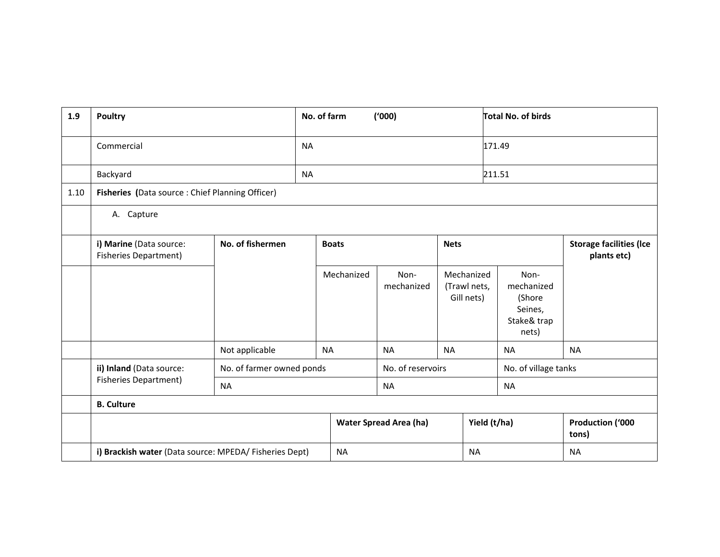| 1.9  | <b>Poultry</b>                                          |                                                 | No. of farm<br>(1000) |            |                               |                                               | <b>Total No. of birds</b> |                                                                 |                           |
|------|---------------------------------------------------------|-------------------------------------------------|-----------------------|------------|-------------------------------|-----------------------------------------------|---------------------------|-----------------------------------------------------------------|---------------------------|
|      | Commercial                                              |                                                 | <b>NA</b>             |            |                               |                                               |                           | 171.49                                                          |                           |
|      | Backyard                                                |                                                 | <b>NA</b>             |            |                               |                                               | 211.51                    |                                                                 |                           |
| 1.10 | Fisheries (Data source : Chief Planning Officer)        |                                                 |                       |            |                               |                                               |                           |                                                                 |                           |
|      | A. Capture                                              |                                                 |                       |            |                               |                                               |                           |                                                                 |                           |
|      | i) Marine (Data source:<br><b>Fisheries Department)</b> | No. of fishermen<br><b>Nets</b><br><b>Boats</b> |                       |            |                               | <b>Storage facilities (Ice</b><br>plants etc) |                           |                                                                 |                           |
|      |                                                         |                                                 |                       | Mechanized | Non-<br>mechanized            | Mechanized<br>(Trawl nets,<br>Gill nets)      |                           | Non-<br>mechanized<br>(Shore<br>Seines,<br>Stake& trap<br>nets) |                           |
|      |                                                         | Not applicable                                  | <b>NA</b>             |            | <b>NA</b>                     | <b>NA</b>                                     |                           | <b>NA</b>                                                       | <b>NA</b>                 |
|      | ii) Inland (Data source:                                | No. of farmer owned ponds                       |                       |            | No. of reservoirs             |                                               |                           | No. of village tanks                                            |                           |
|      | <b>Fisheries Department)</b>                            | <b>NA</b>                                       |                       |            | <b>NA</b>                     |                                               | <b>NA</b>                 |                                                                 |                           |
|      | <b>B.</b> Culture                                       |                                                 |                       |            |                               |                                               |                           |                                                                 |                           |
|      |                                                         |                                                 |                       |            | <b>Water Spread Area (ha)</b> |                                               | Yield (t/ha)              |                                                                 | Production ('000<br>tons) |
|      | i) Brackish water (Data source: MPEDA/ Fisheries Dept)  |                                                 |                       | <b>NA</b>  |                               |                                               | <b>NA</b>                 |                                                                 | <b>NA</b>                 |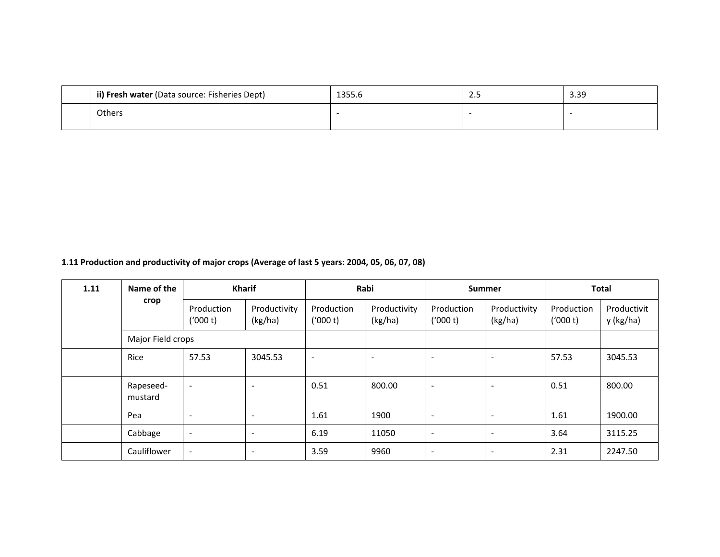| ii) Fresh water (Data source: Fisheries Dept) | $\sim$ $\sim$ $\sim$<br>1999.C | ـ | 3.39 |
|-----------------------------------------------|--------------------------------|---|------|
| Others                                        |                                |   |      |

**1.11 Production and productivity of major crops (Average of last 5 years: 2004, 05, 06, 07, 08)**

| 1.11 | Name of the          | <b>Kharif</b>            |                          | Rabi                     |                          | <b>Summer</b>            |                          | <b>Total</b>           |                          |
|------|----------------------|--------------------------|--------------------------|--------------------------|--------------------------|--------------------------|--------------------------|------------------------|--------------------------|
|      | crop                 | Production<br>('000 t)   | Productivity<br>(kg/ha)  | Production<br>('000 t)   | Productivity<br>(kg/ha)  | Production<br>('000 t)   | Productivity<br>(kg/ha)  | Production<br>('000 t) | Productivit<br>y (kg/ha) |
|      | Major Field crops    |                          |                          |                          |                          |                          |                          |                        |                          |
|      | Rice                 | 57.53                    | 3045.53                  | $\overline{\phantom{a}}$ | $\overline{\phantom{a}}$ | $\overline{\phantom{0}}$ | ٠                        | 57.53                  | 3045.53                  |
|      | Rapeseed-<br>mustard | $\overline{\phantom{a}}$ | $\overline{\phantom{a}}$ | 0.51                     | 800.00                   | $\blacksquare$           | ٠                        | 0.51                   | 800.00                   |
|      | Pea                  | $\overline{\phantom{a}}$ | -                        | 1.61                     | 1900                     | $\overline{\phantom{a}}$ | $\overline{\phantom{0}}$ | 1.61                   | 1900.00                  |
|      | Cabbage              | $\overline{\phantom{a}}$ | $\overline{\phantom{a}}$ | 6.19                     | 11050                    | $\blacksquare$           |                          | 3.64                   | 3115.25                  |
|      | Cauliflower          | $\overline{\phantom{a}}$ | -                        | 3.59                     | 9960                     | $\overline{\phantom{a}}$ |                          | 2.31                   | 2247.50                  |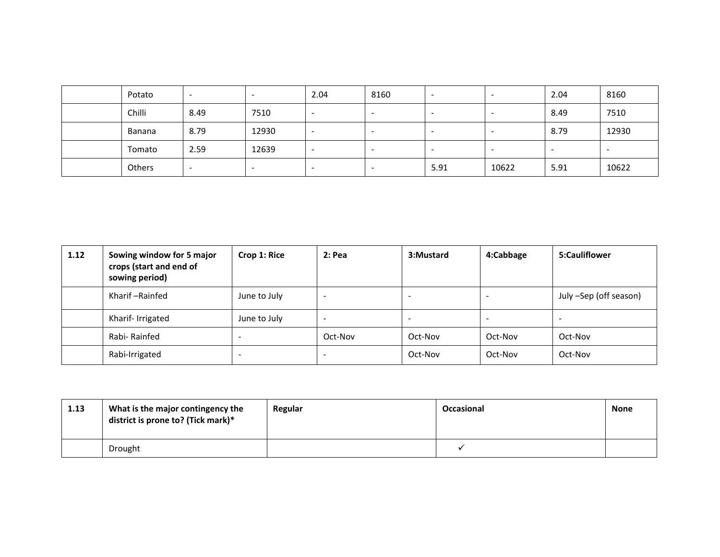| Potato | $\overline{\phantom{0}}$ | $\overline{\phantom{0}}$ | 2.04                     | 8160 | -                        |                          | 2.04                     | 8160                     |
|--------|--------------------------|--------------------------|--------------------------|------|--------------------------|--------------------------|--------------------------|--------------------------|
| Chilli | 8.49                     | 7510                     | $\overline{\phantom{0}}$ |      | $\overline{\phantom{a}}$ |                          | 8.49                     | 7510                     |
| Banana | 8.79                     | 12930                    | $\overline{\phantom{0}}$ |      | $\overline{\phantom{a}}$ |                          | 8.79                     | 12930                    |
| Tomato | 2.59                     | 12639                    | $\overline{\phantom{0}}$ | -    | $\overline{\phantom{a}}$ | $\overline{\phantom{0}}$ | $\overline{\phantom{0}}$ | $\overline{\phantom{0}}$ |
| Others | $\overline{\phantom{0}}$ | -                        | -                        |      | 5.91                     | 10622                    | 5.91                     | 10622                    |

| 1.12 | Sowing window for 5 major<br>crops (start and end of<br>sowing period) | Crop 1: Rice | $2:$ Pea | 3:Mustard | 4:Cabbage | 5:Cauliflower          |
|------|------------------------------------------------------------------------|--------------|----------|-----------|-----------|------------------------|
|      | Kharif-Rainfed                                                         | June to July |          |           |           | July -Sep (off season) |
|      | Kharif- Irrigated                                                      | June to July |          | ۰.        | -         |                        |
|      | Rabi-Rainfed                                                           | -            | Oct-Nov  | Oct-Nov   | Oct-Nov   | Oct-Nov                |
|      | Rabi-Irrigated                                                         | -            |          | Oct-Nov   | Oct-Nov   | Oct-Nov                |

| 1.13 | What is the major contingency the<br>district is prone to? (Tick mark)* | Regular | Occasional | <b>None</b> |
|------|-------------------------------------------------------------------------|---------|------------|-------------|
|      | Drought                                                                 |         |            |             |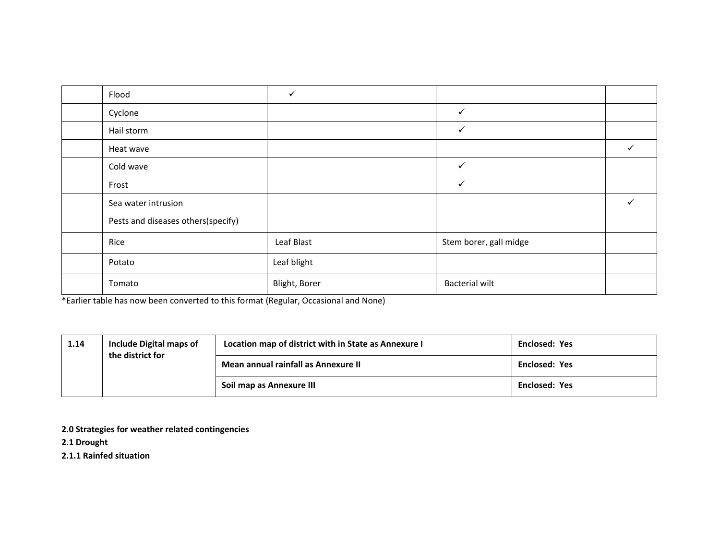| Flood                              | ✓             |                        |   |
|------------------------------------|---------------|------------------------|---|
| Cyclone                            |               | $\checkmark$           |   |
| Hail storm                         |               | $\checkmark$           |   |
| Heat wave                          |               |                        | ✓ |
| Cold wave                          |               | $\checkmark$           |   |
| Frost                              |               | $\checkmark$           |   |
| Sea water intrusion                |               |                        | ✓ |
| Pests and diseases others(specify) |               |                        |   |
| Rice                               | Leaf Blast    | Stem borer, gall midge |   |
| Potato                             | Leaf blight   |                        |   |
| Tomato                             | Blight, Borer | <b>Bacterial wilt</b>  |   |

\*Earlier table has now been converted to this format (Regular, Occasional and None)

| 1.14 | <b>Include Digital maps of</b><br>the district for | Location map of district with in State as Annexure I | <b>Enclosed: Yes</b> |
|------|----------------------------------------------------|------------------------------------------------------|----------------------|
|      |                                                    | Mean annual rainfall as Annexure II                  | <b>Enclosed: Yes</b> |
|      |                                                    | Soil map as Annexure III                             | <b>Enclosed: Yes</b> |

**2.0 Strategies for weather related contingencies**

**2.1 Drought**

**2.1.1 Rainfed situation**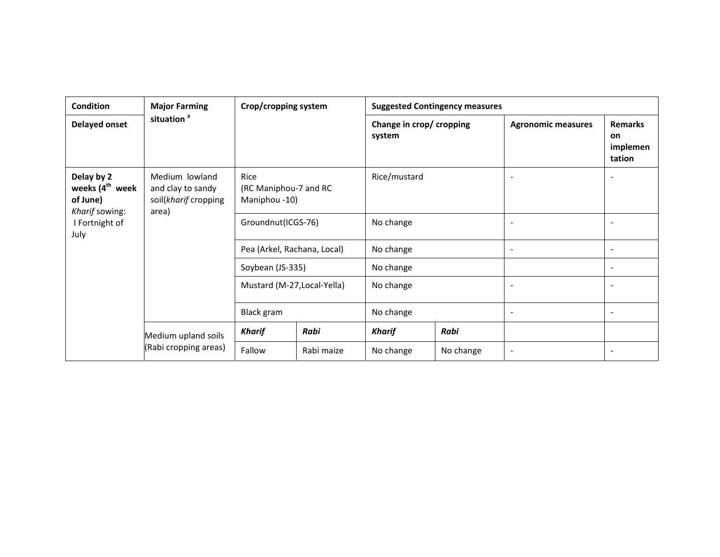| <b>Condition</b><br><b>Major Farming</b>                                                                                                                                                          |                                              | Crop/cropping system                              |              | <b>Suggested Contingency measures</b> |                |                              |                                                   |  |
|---------------------------------------------------------------------------------------------------------------------------------------------------------------------------------------------------|----------------------------------------------|---------------------------------------------------|--------------|---------------------------------------|----------------|------------------------------|---------------------------------------------------|--|
| Delayed onset                                                                                                                                                                                     | situation <sup>a</sup>                       |                                                   |              | Change in crop/ cropping<br>system    |                | <b>Agronomic measures</b>    | <b>Remarks</b><br><b>on</b><br>implemen<br>tation |  |
| Delay by 2<br>Medium lowland<br>Rice<br>weeks (4 <sup>th</sup> week<br>(RC Maniphou-7 and RC<br>and clay to sandy<br>of June)<br>soil(kharif cropping<br>Maniphou -10)<br>Kharif sowing:<br>area) |                                              |                                                   | Rice/mustard |                                       | $\blacksquare$ |                              |                                                   |  |
| I Fortnight of<br>July                                                                                                                                                                            |                                              | Groundnut(ICGS-76)<br>Pea (Arkel, Rachana, Local) |              | No change                             |                |                              |                                                   |  |
|                                                                                                                                                                                                   |                                              |                                                   |              | No change                             |                | $\overline{\phantom{a}}$     |                                                   |  |
|                                                                                                                                                                                                   |                                              | Soybean (JS-335)                                  |              | No change                             |                |                              |                                                   |  |
|                                                                                                                                                                                                   |                                              | Mustard (M-27, Local-Yella)                       |              | No change                             |                |                              |                                                   |  |
|                                                                                                                                                                                                   |                                              | Black gram                                        |              | No change                             |                | $\overline{\phantom{a}}$     |                                                   |  |
|                                                                                                                                                                                                   | Medium upland soils<br>(Rabi cropping areas) | Kharif                                            | Rabi         | <b>Kharif</b>                         | Rabi           |                              |                                                   |  |
|                                                                                                                                                                                                   |                                              | Fallow                                            | Rabi maize   | No change                             | No change      | $\qquad \qquad \blacksquare$ |                                                   |  |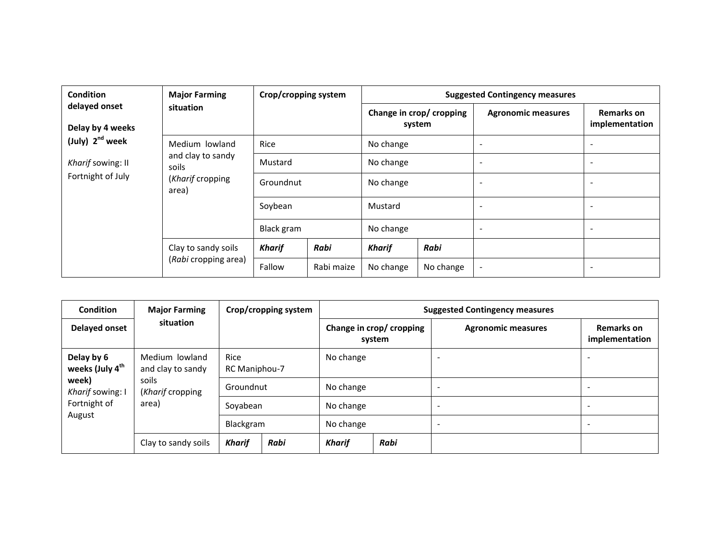| <b>Condition</b>                  | <b>Major Farming</b>                                    | Crop/cropping system |            | <b>Suggested Contingency measures</b> |           |                           |                                     |
|-----------------------------------|---------------------------------------------------------|----------------------|------------|---------------------------------------|-----------|---------------------------|-------------------------------------|
| delayed onset<br>Delay by 4 weeks | situation                                               |                      |            | Change in crop/ cropping<br>system    |           | <b>Agronomic measures</b> | <b>Remarks on</b><br>implementation |
| (July) 2 <sup>nd</sup> week       | Medium lowland                                          | Rice                 |            | No change                             |           | $\overline{\phantom{a}}$  | $\overline{\phantom{a}}$            |
| Kharif sowing: II                 | and clay to sandy<br>soils<br>(Kharif cropping<br>area) | Mustard              |            | No change                             |           | $\overline{\phantom{a}}$  | $\overline{\phantom{a}}$            |
| Fortnight of July                 |                                                         | Groundnut            |            | No change                             |           | $\overline{\phantom{a}}$  | $\overline{\phantom{0}}$            |
|                                   |                                                         | Soybean              |            | Mustard                               |           | $\overline{\phantom{0}}$  | $\overline{\phantom{a}}$            |
|                                   |                                                         | Black gram           |            | No change                             |           | $\overline{\phantom{a}}$  | $\overline{\phantom{a}}$            |
|                                   | Clay to sandy soils<br>(Rabi cropping area)             | <b>Kharif</b>        | Rabi       | <b>Kharif</b>                         | Rabi      |                           |                                     |
|                                   |                                                         | Fallow               | Rabi maize | No change                             | No change |                           | $\qquad \qquad \blacksquare$        |

| Condition                                 | <b>Major Farming</b>                |                              | Crop/cropping system | <b>Suggested Contingency measures</b> |                                    |                           |                                     |
|-------------------------------------------|-------------------------------------|------------------------------|----------------------|---------------------------------------|------------------------------------|---------------------------|-------------------------------------|
| Delayed onset                             | situation                           |                              |                      |                                       | Change in crop/ cropping<br>system | <b>Agronomic measures</b> | <b>Remarks on</b><br>implementation |
| Delay by 6<br>weeks (July 4 <sup>th</sup> | Medium lowland<br>and clay to sandy | <b>Rice</b><br>RC Maniphou-7 |                      | No change                             |                                    |                           |                                     |
| week)<br>Kharif sowing: I                 | soils<br>(Kharif cropping           | Groundnut                    |                      | No change                             |                                    |                           |                                     |
| Fortnight of                              | area)                               | Sovabean                     |                      | No change                             |                                    | ۰                         |                                     |
| August                                    |                                     | Blackgram                    |                      | No change                             |                                    |                           |                                     |
|                                           | Clay to sandy soils                 | <b>Kharif</b>                | Rabi                 | Kharif                                | Rabi                               |                           |                                     |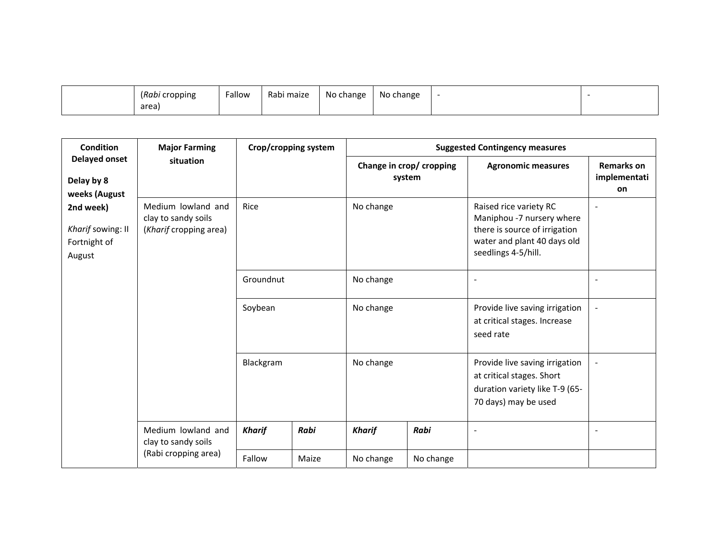| (Rabi cropping | Fallow | Rabi maize | No change | No change |  |
|----------------|--------|------------|-----------|-----------|--|
| area           |        |            |           |           |  |

| <b>Condition</b>                                         | <b>Major Farming</b>                                                |               | Crop/cropping system |               |                                    | <b>Suggested Contingency measures</b>                                                                                                      |                                         |
|----------------------------------------------------------|---------------------------------------------------------------------|---------------|----------------------|---------------|------------------------------------|--------------------------------------------------------------------------------------------------------------------------------------------|-----------------------------------------|
| <b>Delayed onset</b><br>Delay by 8<br>weeks (August      | situation                                                           |               |                      |               | Change in crop/ cropping<br>system | <b>Agronomic measures</b>                                                                                                                  | <b>Remarks on</b><br>implementati<br>on |
| 2nd week)<br>Kharif sowing: II<br>Fortnight of<br>August | Medium lowland and<br>clay to sandy soils<br>(Kharif cropping area) | Rice          |                      | No change     |                                    | Raised rice variety RC<br>Maniphou -7 nursery where<br>there is source of irrigation<br>water and plant 40 days old<br>seedlings 4-5/hill. | $\overline{\phantom{a}}$                |
|                                                          |                                                                     | Groundnut     |                      | No change     |                                    |                                                                                                                                            |                                         |
|                                                          |                                                                     | Soybean       |                      | No change     |                                    | Provide live saving irrigation<br>at critical stages. Increase<br>seed rate                                                                | $\blacksquare$                          |
|                                                          |                                                                     | Blackgram     |                      | No change     |                                    | Provide live saving irrigation<br>at critical stages. Short<br>duration variety like T-9 (65-<br>70 days) may be used                      | $\overline{\phantom{a}}$                |
|                                                          | Medium lowland and<br>clay to sandy soils                           | <b>Kharif</b> | Rabi                 | <b>Kharif</b> | Rabi                               | $\overline{\phantom{a}}$                                                                                                                   | $\overline{a}$                          |
|                                                          | (Rabi cropping area)                                                | Fallow        | Maize                | No change     | No change                          |                                                                                                                                            |                                         |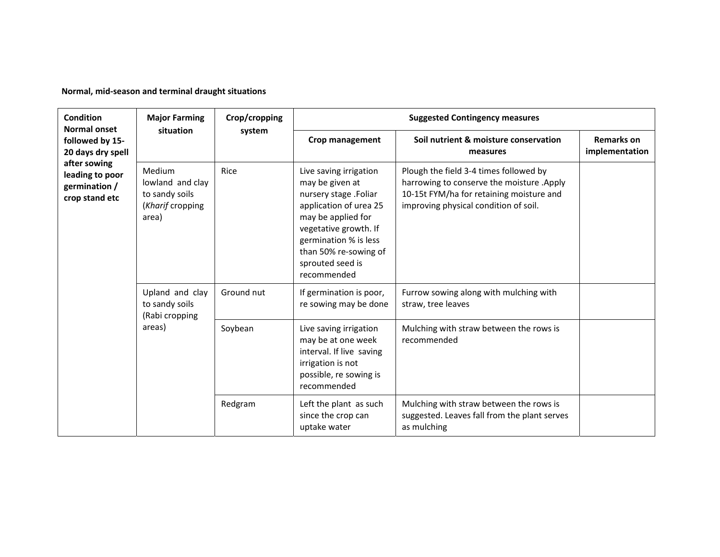**Normal, mid‐season and terminal draught situations**

| <b>Condition</b><br><b>Normal onset</b>                            | <b>Major Farming</b>                                                              | Crop/cropping |                                                                                                                                                                                                                                  | <b>Suggested Contingency measures</b>                                                                                                                                    |                                     |  |  |
|--------------------------------------------------------------------|-----------------------------------------------------------------------------------|---------------|----------------------------------------------------------------------------------------------------------------------------------------------------------------------------------------------------------------------------------|--------------------------------------------------------------------------------------------------------------------------------------------------------------------------|-------------------------------------|--|--|
| followed by 15-<br>20 days dry spell                               | situation                                                                         | system        | Crop management                                                                                                                                                                                                                  | Soil nutrient & moisture conservation<br>measures                                                                                                                        | <b>Remarks on</b><br>implementation |  |  |
| after sowing<br>leading to poor<br>germination /<br>crop stand etc | Medium<br>Rice<br>lowland and clay<br>to sandy soils<br>(Kharif cropping<br>area) |               | Live saving irrigation<br>may be given at<br>nursery stage .Foliar<br>application of urea 25<br>may be applied for<br>vegetative growth. If<br>germination % is less<br>than 50% re-sowing of<br>sprouted seed is<br>recommended | Plough the field 3-4 times followed by<br>harrowing to conserve the moisture .Apply<br>10-15t FYM/ha for retaining moisture and<br>improving physical condition of soil. |                                     |  |  |
|                                                                    | Upland and clay<br>to sandy soils<br>(Rabi cropping                               | Ground nut    | If germination is poor,<br>re sowing may be done                                                                                                                                                                                 | Furrow sowing along with mulching with<br>straw, tree leaves                                                                                                             |                                     |  |  |
|                                                                    | areas)                                                                            | Soybean       | Live saving irrigation<br>may be at one week<br>interval. If live saving<br>irrigation is not<br>possible, re sowing is<br>recommended                                                                                           | Mulching with straw between the rows is<br>recommended                                                                                                                   |                                     |  |  |
|                                                                    |                                                                                   | Redgram       | Left the plant as such<br>since the crop can<br>uptake water                                                                                                                                                                     | Mulching with straw between the rows is<br>suggested. Leaves fall from the plant serves<br>as mulching                                                                   |                                     |  |  |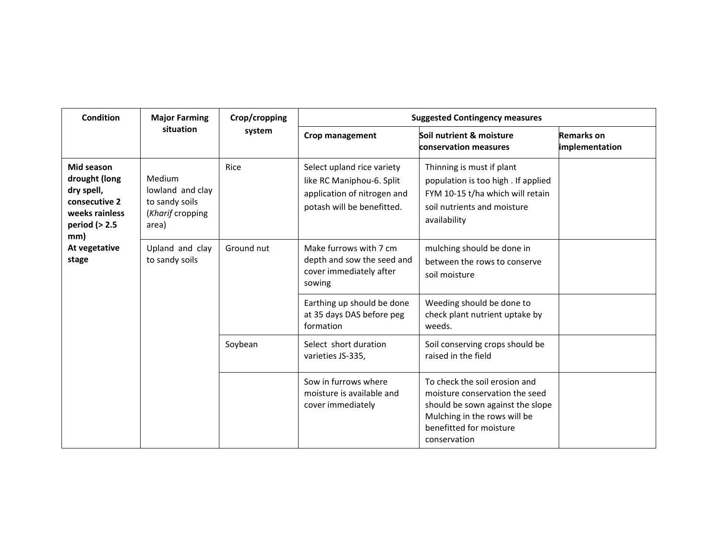| Condition                                                                                             | <b>Major Farming</b>                                                      | Crop/cropping | <b>Suggested Contingency measures</b>                                                                                |                                                                                                                                                                                |                                     |
|-------------------------------------------------------------------------------------------------------|---------------------------------------------------------------------------|---------------|----------------------------------------------------------------------------------------------------------------------|--------------------------------------------------------------------------------------------------------------------------------------------------------------------------------|-------------------------------------|
|                                                                                                       | situation                                                                 | system        | <b>Crop management</b>                                                                                               | Soil nutrient & moisture<br>conservation measures                                                                                                                              | <b>Remarks on</b><br>implementation |
| Mid season<br>drought (long<br>dry spell,<br>consecutive 2<br>weeks rainless<br>period $(>2.5$<br>mm) | Medium<br>lowland and clay<br>to sandy soils<br>(Kharif cropping<br>area) | Rice          | Select upland rice variety<br>like RC Maniphou-6. Split<br>application of nitrogen and<br>potash will be benefitted. | Thinning is must if plant<br>population is too high. If applied<br>FYM 10-15 t/ha which will retain<br>soil nutrients and moisture<br>availability                             |                                     |
| At vegetative<br>stage                                                                                | Upland and clay<br>to sandy soils                                         | Ground nut    | Make furrows with 7 cm<br>depth and sow the seed and<br>cover immediately after<br>sowing                            | mulching should be done in<br>between the rows to conserve<br>soil moisture                                                                                                    |                                     |
|                                                                                                       |                                                                           |               | Earthing up should be done<br>at 35 days DAS before peg<br>formation                                                 | Weeding should be done to<br>check plant nutrient uptake by<br>weeds.                                                                                                          |                                     |
|                                                                                                       |                                                                           | Soybean       | Select short duration<br>varieties JS-335,                                                                           | Soil conserving crops should be<br>raised in the field                                                                                                                         |                                     |
|                                                                                                       |                                                                           |               | Sow in furrows where<br>moisture is available and<br>cover immediately                                               | To check the soil erosion and<br>moisture conservation the seed<br>should be sown against the slope<br>Mulching in the rows will be<br>benefitted for moisture<br>conservation |                                     |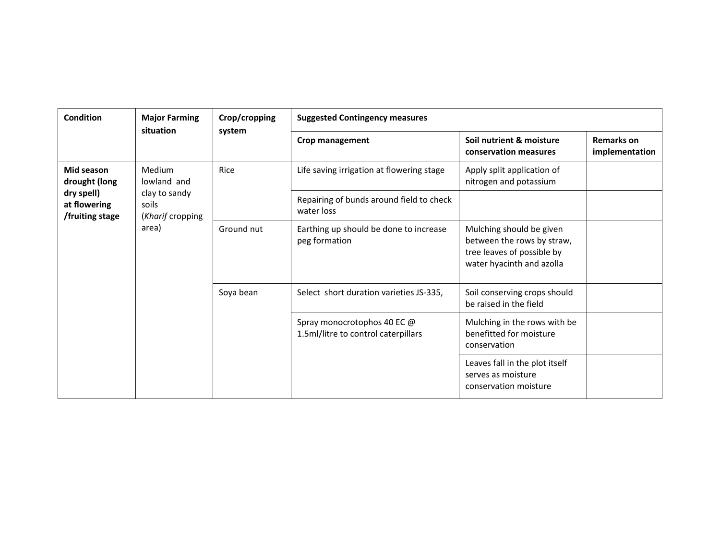| <b>Condition</b>                              | <b>Major Farming</b>                       | Crop/cropping | <b>Suggested Contingency measures</b>                              |                                                                                                                   |                                     |
|-----------------------------------------------|--------------------------------------------|---------------|--------------------------------------------------------------------|-------------------------------------------------------------------------------------------------------------------|-------------------------------------|
|                                               | situation                                  | system        | Crop management                                                    | Soil nutrient & moisture<br>conservation measures                                                                 | <b>Remarks on</b><br>implementation |
| Mid season<br>drought (long                   | Medium<br>lowland and                      | Rice          | Life saving irrigation at flowering stage                          | Apply split application of<br>nitrogen and potassium                                                              |                                     |
| dry spell)<br>at flowering<br>/fruiting stage | clay to sandy<br>soils<br>(Kharif cropping |               | Repairing of bunds around field to check<br>water loss             |                                                                                                                   |                                     |
|                                               | area)                                      | Ground nut    | Earthing up should be done to increase<br>peg formation            | Mulching should be given<br>between the rows by straw,<br>tree leaves of possible by<br>water hyacinth and azolla |                                     |
|                                               |                                            | Soya bean     | Select short duration varieties JS-335,                            | Soil conserving crops should<br>be raised in the field                                                            |                                     |
|                                               |                                            |               | Spray monocrotophos 40 EC @<br>1.5ml/litre to control caterpillars | Mulching in the rows with be<br>benefitted for moisture<br>conservation                                           |                                     |
|                                               |                                            |               |                                                                    | Leaves fall in the plot itself<br>serves as moisture<br>conservation moisture                                     |                                     |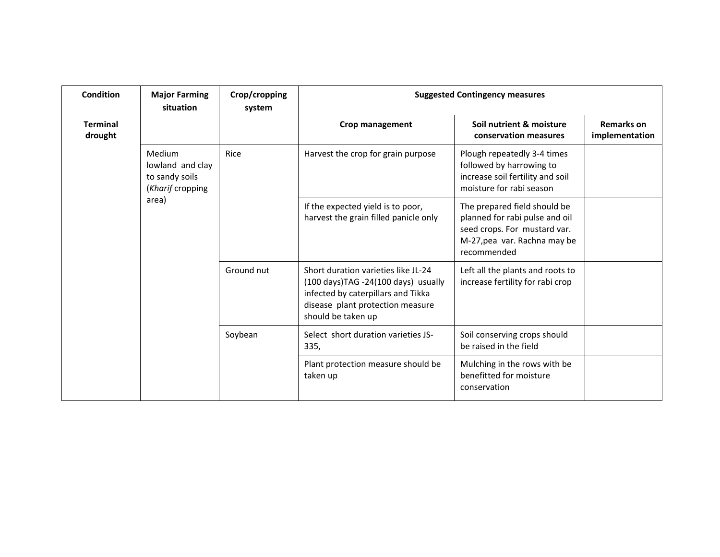| Condition                  | <b>Major Farming</b><br>situation                                | Crop/cropping<br>system | <b>Suggested Contingency measures</b>                                                                                                                                      |                                                                                                                                               |                                     |
|----------------------------|------------------------------------------------------------------|-------------------------|----------------------------------------------------------------------------------------------------------------------------------------------------------------------------|-----------------------------------------------------------------------------------------------------------------------------------------------|-------------------------------------|
| <b>Terminal</b><br>drought |                                                                  |                         | Crop management                                                                                                                                                            | Soil nutrient & moisture<br>conservation measures                                                                                             | <b>Remarks on</b><br>implementation |
|                            | Medium<br>lowland and clay<br>to sandy soils<br>(Kharif cropping | Rice                    | Harvest the crop for grain purpose                                                                                                                                         | Plough repeatedly 3-4 times<br>followed by harrowing to<br>increase soil fertility and soil<br>moisture for rabi season                       |                                     |
|                            | area)                                                            |                         | If the expected yield is to poor,<br>harvest the grain filled panicle only                                                                                                 | The prepared field should be<br>planned for rabi pulse and oil<br>seed crops. For mustard var.<br>M-27, pea var. Rachna may be<br>recommended |                                     |
|                            |                                                                  | Ground nut              | Short duration varieties like JL-24<br>(100 days)TAG -24(100 days) usually<br>infected by caterpillars and Tikka<br>disease plant protection measure<br>should be taken up | Left all the plants and roots to<br>increase fertility for rabi crop                                                                          |                                     |
|                            |                                                                  | Soybean                 | Select short duration varieties JS-<br>335,                                                                                                                                | Soil conserving crops should<br>be raised in the field                                                                                        |                                     |
|                            |                                                                  |                         | Plant protection measure should be<br>taken up                                                                                                                             | Mulching in the rows with be<br>benefitted for moisture<br>conservation                                                                       |                                     |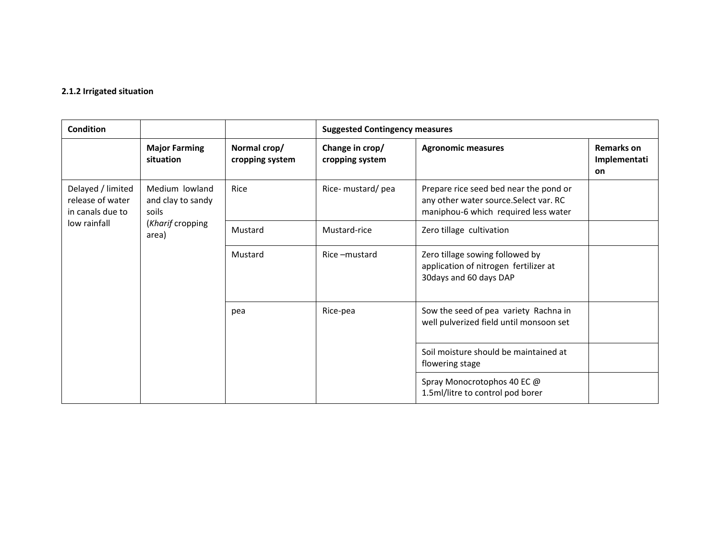#### **2.1.2 Irrigated situation**

| Condition                                                 |                                              |                                 | <b>Suggested Contingency measures</b> |                                                                                                                          |                                                |
|-----------------------------------------------------------|----------------------------------------------|---------------------------------|---------------------------------------|--------------------------------------------------------------------------------------------------------------------------|------------------------------------------------|
|                                                           | <b>Major Farming</b><br>situation            | Normal crop/<br>cropping system | Change in crop/<br>cropping system    | <b>Agronomic measures</b>                                                                                                | <b>Remarks on</b><br>Implementati<br><b>on</b> |
| Delayed / limited<br>release of water<br>in canals due to | Medium lowland<br>and clay to sandy<br>soils | Rice                            | Rice- mustard/pea                     | Prepare rice seed bed near the pond or<br>any other water source. Select var. RC<br>maniphou-6 which required less water |                                                |
| low rainfall                                              | (Kharif cropping<br>area)                    | Mustard<br>Mustard-rice         |                                       | Zero tillage cultivation                                                                                                 |                                                |
|                                                           |                                              | Mustard                         | Rice-mustard                          | Zero tillage sowing followed by<br>application of nitrogen fertilizer at<br>30days and 60 days DAP                       |                                                |
|                                                           |                                              | pea                             | Rice-pea                              | Sow the seed of pea variety Rachna in<br>well pulverized field until monsoon set                                         |                                                |
|                                                           |                                              |                                 |                                       | Soil moisture should be maintained at<br>flowering stage                                                                 |                                                |
|                                                           |                                              |                                 |                                       | Spray Monocrotophos 40 EC @<br>1.5ml/litre to control pod borer                                                          |                                                |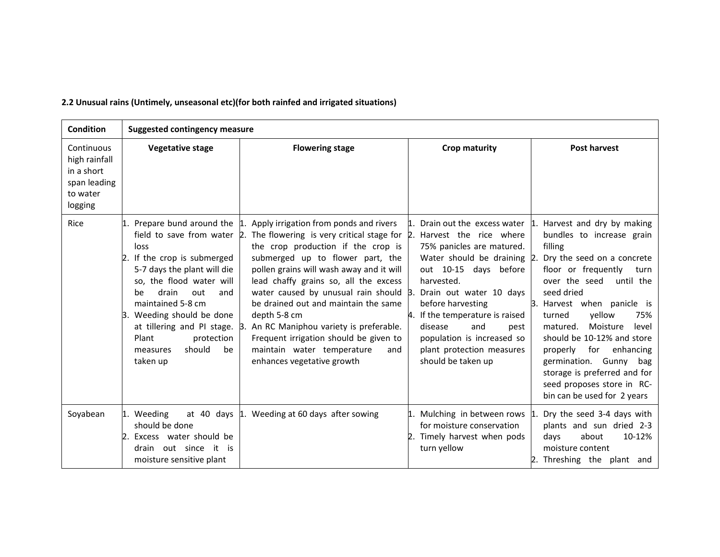| <b>Condition</b>                                                                 | <b>Suggested contingency measure</b>                                                                                                                                                                                                                                       |                                                                                                                                                                                                                                                                                                                                                                                                                                                                                                                                                                                                                     |                                                                                                                                                                                                                                                                                               |                                                                                                                                                                                                                                                                                                                                                                                                                                                                                           |  |  |
|----------------------------------------------------------------------------------|----------------------------------------------------------------------------------------------------------------------------------------------------------------------------------------------------------------------------------------------------------------------------|---------------------------------------------------------------------------------------------------------------------------------------------------------------------------------------------------------------------------------------------------------------------------------------------------------------------------------------------------------------------------------------------------------------------------------------------------------------------------------------------------------------------------------------------------------------------------------------------------------------------|-----------------------------------------------------------------------------------------------------------------------------------------------------------------------------------------------------------------------------------------------------------------------------------------------|-------------------------------------------------------------------------------------------------------------------------------------------------------------------------------------------------------------------------------------------------------------------------------------------------------------------------------------------------------------------------------------------------------------------------------------------------------------------------------------------|--|--|
| Continuous<br>high rainfall<br>in a short<br>span leading<br>to water<br>logging | <b>Vegetative stage</b>                                                                                                                                                                                                                                                    | <b>Flowering stage</b>                                                                                                                                                                                                                                                                                                                                                                                                                                                                                                                                                                                              | <b>Crop maturity</b>                                                                                                                                                                                                                                                                          | <b>Post harvest</b>                                                                                                                                                                                                                                                                                                                                                                                                                                                                       |  |  |
| Rice                                                                             | loss<br>2. If the crop is submerged<br>5-7 days the plant will die<br>so, the flood water will<br>drain<br>out<br>be<br>and<br>maintained 5-8 cm<br>Weeding should be done<br>at tillering and PI stage. 3.<br>Plant<br>protection<br>should<br>be<br>measures<br>taken up | 1. Prepare bund around the $\vert$ 1. Apply irrigation from ponds and rivers<br>field to save from water $\beta$ . The flowering is very critical stage for $\beta$ . Harvest the rice where<br>the crop production if the crop is<br>submerged up to flower part, the<br>pollen grains will wash away and it will<br>lead chaffy grains so, all the excess<br>water caused by unusual rain should 3.<br>be drained out and maintain the same<br>depth 5-8 cm<br>An RC Maniphou variety is preferable.<br>Frequent irrigation should be given to<br>maintain water temperature<br>and<br>enhances vegetative growth | 75% panicles are matured.<br>Water should be draining 2.<br>out 10-15 days before<br>harvested.<br>Drain out water 10 days<br>before harvesting<br>4. If the temperature is raised<br>disease<br>and<br>pest<br>population is increased so<br>plant protection measures<br>should be taken up | Drain out the excess water $\vert$ 1. Harvest and dry by making<br>bundles to increase grain<br>filling<br>Dry the seed on a concrete<br>floor or frequently<br>turn<br>over the seed<br>until the<br>seed dried<br>3. Harvest when panicle is<br>yellow<br>turned<br>75%<br>Moisture<br>level<br>matured.<br>should be 10-12% and store<br>properly for enhancing<br>germination. Gunny bag<br>storage is preferred and for<br>seed proposes store in RC-<br>bin can be used for 2 years |  |  |
| Soyabean                                                                         | Weeding<br>should be done<br>Excess water should be<br>drain out since it is<br>moisture sensitive plant                                                                                                                                                                   | at 40 days $\vert$ 1. Weeding at 60 days after sowing                                                                                                                                                                                                                                                                                                                                                                                                                                                                                                                                                               | Mulching in between rows 1<br>for moisture conservation<br>Timely harvest when pods<br>turn yellow                                                                                                                                                                                            | Dry the seed 3-4 days with<br>plants and sun dried 2-3<br>days<br>about<br>10-12%<br>moisture content<br>2. Threshing the plant and                                                                                                                                                                                                                                                                                                                                                       |  |  |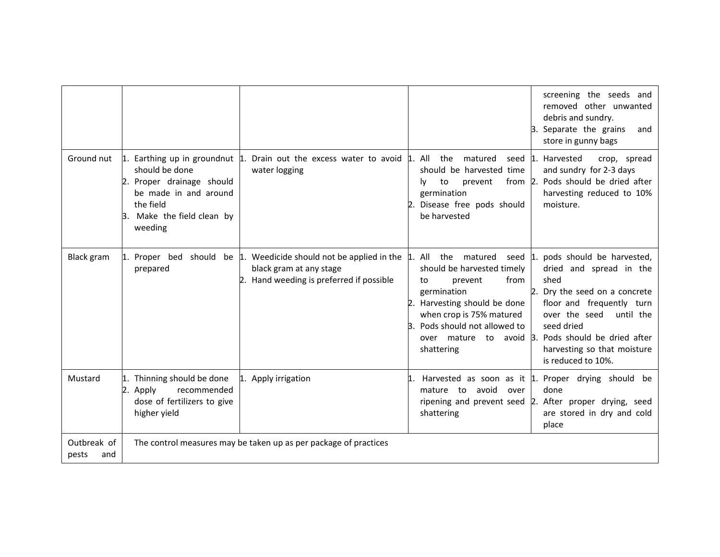|                             |                                                                                                                            |                                                                                                                                    |                                                                                                                                                                                                                 | screening the seeds and<br>removed other unwanted<br>debris and sundry.<br>3. Separate the grains<br>and<br>store in gunny bags                                                                                                                                            |
|-----------------------------|----------------------------------------------------------------------------------------------------------------------------|------------------------------------------------------------------------------------------------------------------------------------|-----------------------------------------------------------------------------------------------------------------------------------------------------------------------------------------------------------------|----------------------------------------------------------------------------------------------------------------------------------------------------------------------------------------------------------------------------------------------------------------------------|
|                             | should be done<br>2. Proper drainage should<br>be made in and around<br>the field<br>B. Make the field clean by<br>weeding | Ground nut $\mu$ . Earthing up in groundnut $\mu$ . Drain out the excess water to avoid $\mu$ . All<br>water logging               | the<br>matured<br>should be harvested time<br>prevent<br>to<br>I۷<br>germination<br>Disease free pods should<br>be harvested                                                                                    | seed 1. Harvested<br>crop, spread<br>and sundry for 2-3 days<br>from 2. Pods should be dried after<br>harvesting reduced to 10%<br>moisture.                                                                                                                               |
| <b>Black gram</b>           | 1. Proper bed<br>prepared                                                                                                  | should be $\vert$ 1. Weedicide should not be applied in the<br>black gram at any stage<br>2. Hand weeding is preferred if possible | All the matured<br>should be harvested timely<br>from<br>prevent<br>to<br>germination<br>Harvesting should be done<br>when crop is 75% matured<br>Pods should not allowed to<br>over mature<br>to<br>shattering | seed 1. pods should be harvested,<br>dried and spread in the<br>shed<br>2. Dry the seed on a concrete<br>floor and frequently turn<br>until the<br>over the seed<br>seed dried<br>avoid 3. Pods should be dried after<br>harvesting so that moisture<br>is reduced to 10%. |
| Mustard                     | 1. Thinning should be done<br>recommended<br>Apply<br>2.<br>dose of fertilizers to give<br>higher yield                    | 1. Apply irrigation                                                                                                                | avoid<br>mature to<br>over<br>shattering                                                                                                                                                                        | Harvested as soon as it $\vert$ 1. Proper drying should be<br>done<br>ripening and prevent seed 2. After proper drying, seed<br>are stored in dry and cold<br>place                                                                                                        |
| Outbreak of<br>and<br>pests |                                                                                                                            | The control measures may be taken up as per package of practices                                                                   |                                                                                                                                                                                                                 |                                                                                                                                                                                                                                                                            |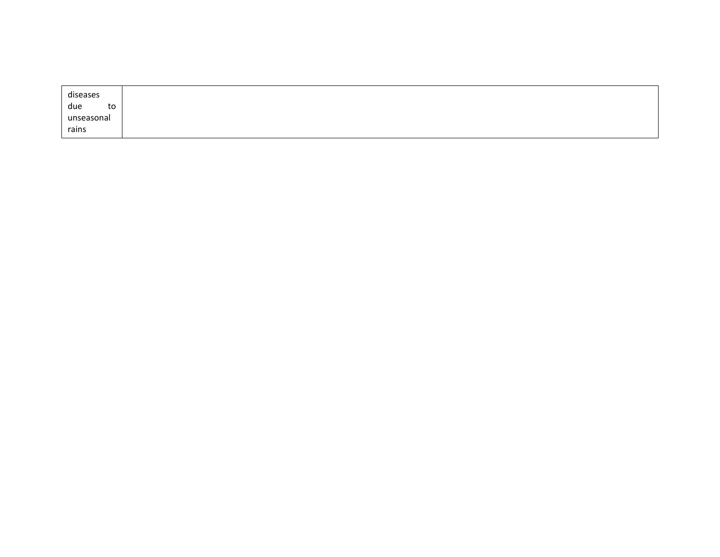| diseases   |
|------------|
| due<br>to  |
| unseasonal |
| rains      |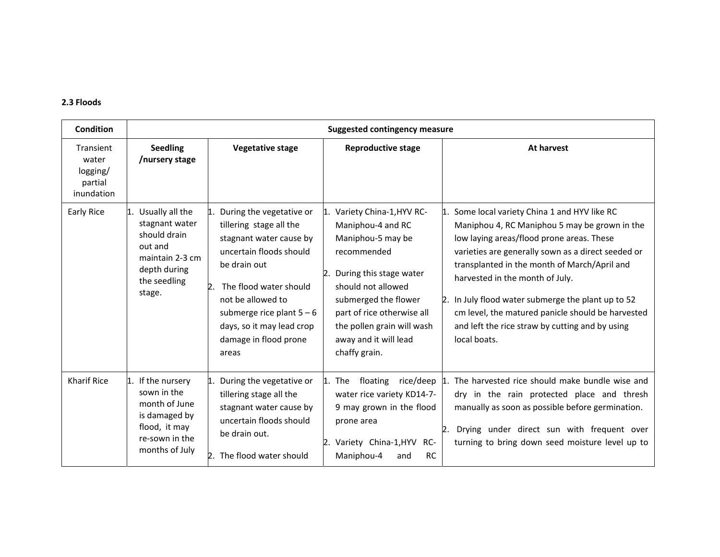#### **2.3 Floods**

| <b>Condition</b>                                        | <b>Suggested contingency measure</b>                                                                                             |                                                                                                                                                                                                                                                                      |                                                                                                                                                                                                                                                                               |                                                                                                                                                                                                                                                                                                                                                                                                                                                                    |  |  |
|---------------------------------------------------------|----------------------------------------------------------------------------------------------------------------------------------|----------------------------------------------------------------------------------------------------------------------------------------------------------------------------------------------------------------------------------------------------------------------|-------------------------------------------------------------------------------------------------------------------------------------------------------------------------------------------------------------------------------------------------------------------------------|--------------------------------------------------------------------------------------------------------------------------------------------------------------------------------------------------------------------------------------------------------------------------------------------------------------------------------------------------------------------------------------------------------------------------------------------------------------------|--|--|
| Transient<br>water<br>logging/<br>partial<br>inundation | <b>Seedling</b><br>/nursery stage                                                                                                | <b>Vegetative stage</b>                                                                                                                                                                                                                                              | <b>Reproductive stage</b>                                                                                                                                                                                                                                                     | At harvest                                                                                                                                                                                                                                                                                                                                                                                                                                                         |  |  |
| Early Rice                                              | Usually all the<br>l1.<br>stagnant water<br>should drain<br>out and<br>maintain 2-3 cm<br>depth during<br>the seedling<br>stage. | During the vegetative or<br>tillering stage all the<br>stagnant water cause by<br>uncertain floods should<br>be drain out<br>The flood water should<br>not be allowed to<br>submerge rice plant $5-6$<br>days, so it may lead crop<br>damage in flood prone<br>areas | Variety China-1, HYV RC-<br>11.<br>Maniphou-4 and RC<br>Maniphou-5 may be<br>recommended<br>During this stage water<br>2.<br>should not allowed<br>submerged the flower<br>part of rice otherwise all<br>the pollen grain will wash<br>away and it will lead<br>chaffy grain. | 1. Some local variety China 1 and HYV like RC<br>Maniphou 4, RC Maniphou 5 may be grown in the<br>low laying areas/flood prone areas. These<br>varieties are generally sown as a direct seeded or<br>transplanted in the month of March/April and<br>harvested in the month of July.<br>2. In July flood water submerge the plant up to 52<br>cm level, the matured panicle should be harvested<br>and left the rice straw by cutting and by using<br>local boats. |  |  |
| <b>Kharif Rice</b>                                      | If the nursery<br>11.<br>sown in the<br>month of June<br>is damaged by<br>flood, it may<br>re-sown in the<br>months of July      | During the vegetative or<br>11.<br>tillering stage all the<br>stagnant water cause by<br>uncertain floods should<br>be drain out.<br>2. The flood water should                                                                                                       | l1.<br>floating<br>rice/deep  1.<br>The<br>water rice variety KD14-7-<br>9 may grown in the flood<br>prone area<br>2. Variety China-1, HYV<br>-RC<br>Maniphou-4<br>RC<br>and                                                                                                  | The harvested rice should make bundle wise and<br>dry in the rain protected place and thresh<br>manually as soon as possible before germination.<br>Drying under direct sun with frequent over<br>$\mathsf{R}$<br>turning to bring down seed moisture level up to                                                                                                                                                                                                  |  |  |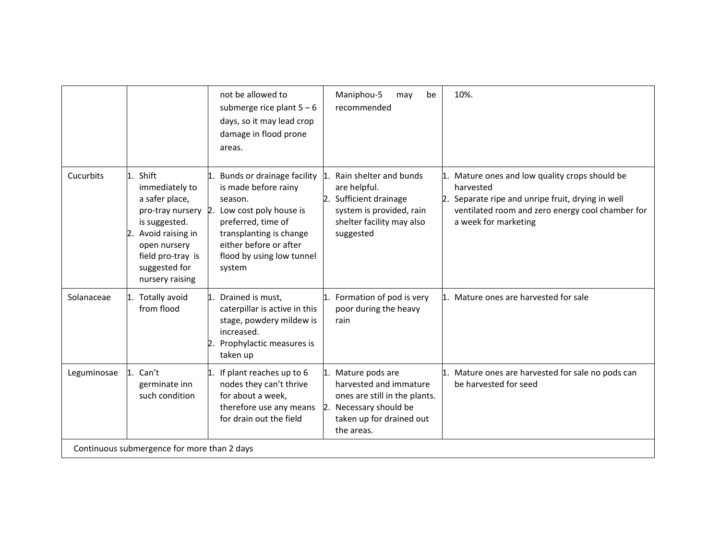|                  |                                                                                                                                                                     | not be allowed to<br>submerge rice plant $5-6$<br>days, so it may lead crop<br>damage in flood prone<br>areas.                                                                                                                | Maniphou-5<br>be<br>may<br>recommended                                                                                                                           | 10%.                                                                                                                                                                                            |
|------------------|---------------------------------------------------------------------------------------------------------------------------------------------------------------------|-------------------------------------------------------------------------------------------------------------------------------------------------------------------------------------------------------------------------------|------------------------------------------------------------------------------------------------------------------------------------------------------------------|-------------------------------------------------------------------------------------------------------------------------------------------------------------------------------------------------|
| <b>Cucurbits</b> | Shift<br>1.<br>immediately to<br>a safer place,<br>is suggested.<br>Avoid raising in<br>12<br>open nursery<br>field pro-tray is<br>suggested for<br>nursery raising | Bunds or drainage facility<br>is made before rainy<br>season.<br>pro-tray nursery 2. Low cost poly house is<br>preferred, time of<br>transplanting is change<br>either before or after<br>flood by using low tunnel<br>system | Rain shelter and bunds<br>$\mathbf{1}$ .<br>are helpful.<br>2. Sufficient drainage<br>system is provided, rain<br>shelter facility may also<br>suggested         | 1. Mature ones and low quality crops should be<br>harvested<br>Separate ripe and unripe fruit, drying in well<br>2.<br>ventilated room and zero energy cool chamber for<br>a week for marketing |
| Solanaceae       | Totally avoid<br>from flood                                                                                                                                         | 1. Drained is must,<br>caterpillar is active in this<br>stage, powdery mildew is<br>increased.<br>Prophylactic measures is<br>taken up                                                                                        | Formation of pod is very<br>1.<br>poor during the heavy<br>rain                                                                                                  | 1. Mature ones are harvested for sale                                                                                                                                                           |
| Leguminosae      | 1. Can't<br>germinate inn<br>such condition                                                                                                                         | 1. If plant reaches up to 6<br>nodes they can't thrive<br>for about a week,<br>therefore use any means<br>for drain out the field                                                                                             | 1. Mature pods are<br>harvested and immature<br>ones are still in the plants.<br>$\mathsf{Z}$ .<br>Necessary should be<br>taken up for drained out<br>the areas. | 1. Mature ones are harvested for sale no pods can<br>be harvested for seed                                                                                                                      |
|                  | Continuous submergence for more than 2 days                                                                                                                         |                                                                                                                                                                                                                               |                                                                                                                                                                  |                                                                                                                                                                                                 |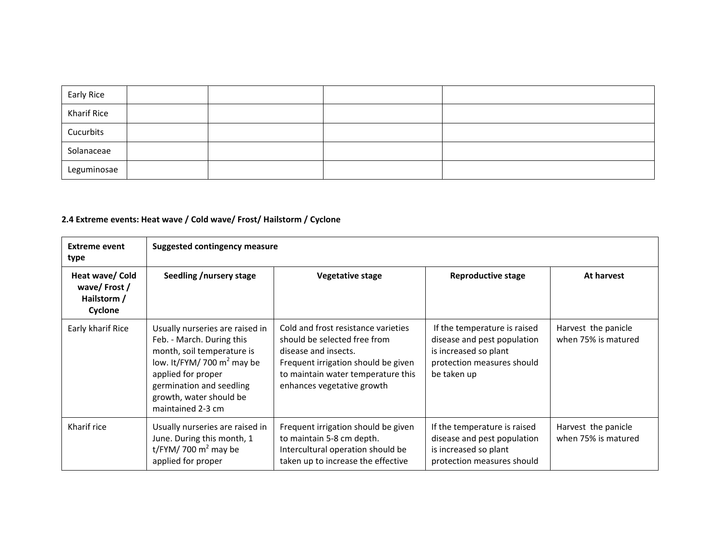| Early Rice  |  |  |
|-------------|--|--|
| Kharif Rice |  |  |
| Cucurbits   |  |  |
| Solanaceae  |  |  |
| Leguminosae |  |  |

### **2.4 Extreme events: Heat wave / Cold wave/ Frost/ Hailstorm / Cyclone**

| <b>Extreme event</b><br>type                             | <b>Suggested contingency measure</b>                                                                                                                                                                                          |                                                                                                                                                                                                        |                                                                                                                                   |                                            |  |  |  |
|----------------------------------------------------------|-------------------------------------------------------------------------------------------------------------------------------------------------------------------------------------------------------------------------------|--------------------------------------------------------------------------------------------------------------------------------------------------------------------------------------------------------|-----------------------------------------------------------------------------------------------------------------------------------|--------------------------------------------|--|--|--|
| Heat wave/ Cold<br>wave/Frost/<br>Hailstorm /<br>Cyclone | Seedling /nursery stage                                                                                                                                                                                                       | <b>Vegetative stage</b>                                                                                                                                                                                | Reproductive stage                                                                                                                | At harvest                                 |  |  |  |
| Early kharif Rice                                        | Usually nurseries are raised in<br>Feb. - March. During this<br>month, soil temperature is<br>low. It/FYM/ 700 $m^2$ may be<br>applied for proper<br>germination and seedling<br>growth, water should be<br>maintained 2-3 cm | Cold and frost resistance varieties<br>should be selected free from<br>disease and insects.<br>Frequent irrigation should be given<br>to maintain water temperature this<br>enhances vegetative growth | If the temperature is raised<br>disease and pest population<br>is increased so plant<br>protection measures should<br>be taken up | Harvest the panicle<br>when 75% is matured |  |  |  |
| Kharif rice                                              | Usually nurseries are raised in<br>June. During this month, 1<br>t/FYM/ 700 $m2$ may be<br>applied for proper                                                                                                                 | Frequent irrigation should be given<br>to maintain 5-8 cm depth.<br>Intercultural operation should be<br>taken up to increase the effective                                                            | If the temperature is raised<br>disease and pest population<br>is increased so plant<br>protection measures should                | Harvest the panicle<br>when 75% is matured |  |  |  |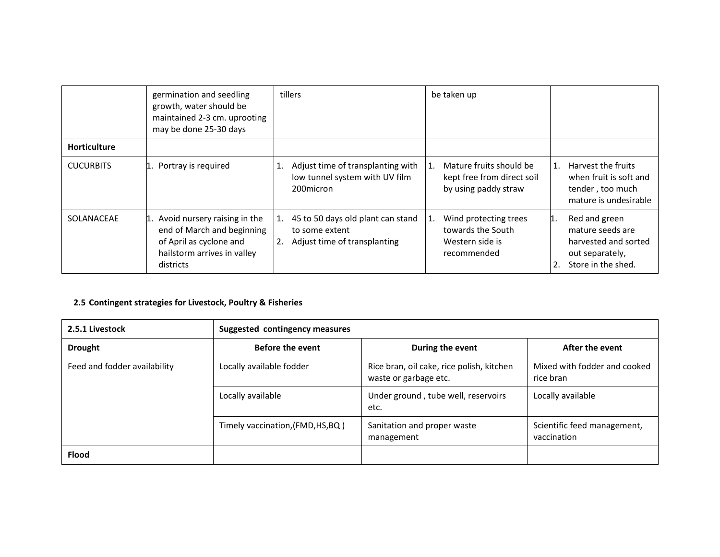|                  | germination and seedling<br>growth, water should be<br>maintained 2-3 cm. uprooting<br>may be done 25-30 days                        | tillers                                                                                | be taken up                                                                         |                                                                                                                 |
|------------------|--------------------------------------------------------------------------------------------------------------------------------------|----------------------------------------------------------------------------------------|-------------------------------------------------------------------------------------|-----------------------------------------------------------------------------------------------------------------|
| Horticulture     |                                                                                                                                      |                                                                                        |                                                                                     |                                                                                                                 |
| <b>CUCURBITS</b> | Portray is required                                                                                                                  | Adjust time of transplanting with<br>1.<br>low tunnel system with UV film<br>200micron | Mature fruits should be<br>1.<br>kept free from direct soil<br>by using paddy straw | Harvest the fruits<br>1.<br>when fruit is soft and<br>tender, too much<br>mature is undesirable                 |
| SOLANACEAE       | 1. Avoid nursery raising in the<br>end of March and beginning<br>of April as cyclone and<br>hailstorm arrives in valley<br>districts | 45 to 50 days old plant can stand<br>to some extent<br>Adjust time of transplanting    | Wind protecting trees<br>1.<br>towards the South<br>Western side is<br>recommended  | Red and green<br>11.<br>mature seeds are<br>harvested and sorted<br>out separately,<br>Store in the shed.<br>2. |

## **2.5 Contingent strategies for Livestock, Poultry & Fisheries**

| 2.5.1 Livestock              | Suggested contingency measures    |                                                                    |                                            |  |  |
|------------------------------|-----------------------------------|--------------------------------------------------------------------|--------------------------------------------|--|--|
| <b>Drought</b>               | <b>Before the event</b>           | During the event                                                   | After the event                            |  |  |
| Feed and fodder availability | Locally available fodder          | Rice bran, oil cake, rice polish, kitchen<br>waste or garbage etc. | Mixed with fodder and cooked<br>rice bran  |  |  |
|                              | Locally available                 | Under ground, tube well, reservoirs<br>etc.                        | Locally available                          |  |  |
|                              | Timely vaccination, (FMD, HS, BQ) | Sanitation and proper waste<br>management                          | Scientific feed management,<br>vaccination |  |  |
| <b>Flood</b>                 |                                   |                                                                    |                                            |  |  |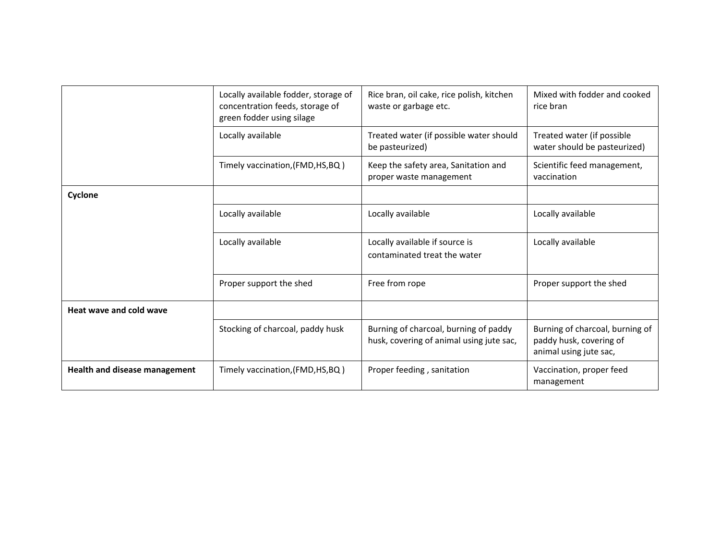|                                      | Locally available fodder, storage of<br>concentration feeds, storage of<br>green fodder using silage | Rice bran, oil cake, rice polish, kitchen<br>waste or garbage etc.                | Mixed with fodder and cooked<br>rice bran                                            |
|--------------------------------------|------------------------------------------------------------------------------------------------------|-----------------------------------------------------------------------------------|--------------------------------------------------------------------------------------|
|                                      | Locally available                                                                                    | Treated water (if possible water should<br>be pasteurized)                        | Treated water (if possible<br>water should be pasteurized)                           |
|                                      | Timely vaccination, (FMD, HS, BQ)                                                                    | Keep the safety area, Sanitation and<br>proper waste management                   | Scientific feed management,<br>vaccination                                           |
| Cyclone                              |                                                                                                      |                                                                                   |                                                                                      |
|                                      | Locally available                                                                                    | Locally available                                                                 | Locally available                                                                    |
|                                      | Locally available                                                                                    | Locally available if source is<br>contaminated treat the water                    | Locally available                                                                    |
|                                      | Proper support the shed                                                                              | Free from rope                                                                    | Proper support the shed                                                              |
| Heat wave and cold wave              |                                                                                                      |                                                                                   |                                                                                      |
|                                      | Stocking of charcoal, paddy husk                                                                     | Burning of charcoal, burning of paddy<br>husk, covering of animal using jute sac, | Burning of charcoal, burning of<br>paddy husk, covering of<br>animal using jute sac, |
| <b>Health and disease management</b> | Timely vaccination, (FMD, HS, BQ)                                                                    | Proper feeding, sanitation                                                        | Vaccination, proper feed<br>management                                               |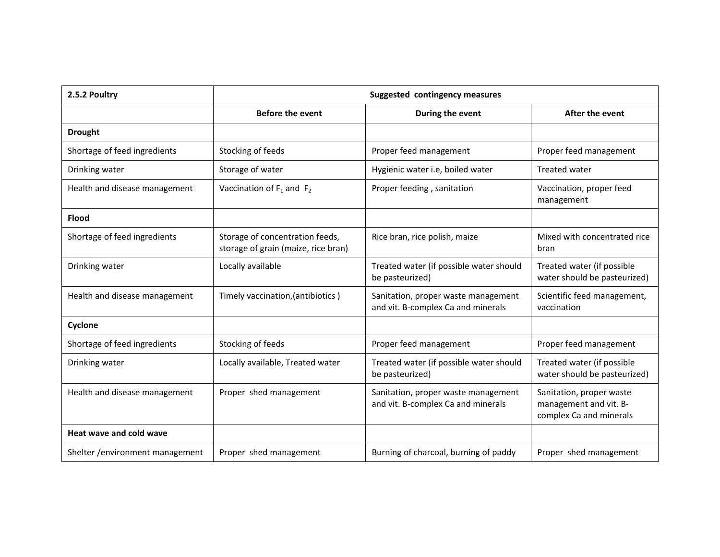| 2.5.2 Poultry                    |                                                                        | Suggested contingency measures                                            |                                                                               |
|----------------------------------|------------------------------------------------------------------------|---------------------------------------------------------------------------|-------------------------------------------------------------------------------|
|                                  | <b>Before the event</b>                                                | During the event                                                          | After the event                                                               |
| <b>Drought</b>                   |                                                                        |                                                                           |                                                                               |
| Shortage of feed ingredients     | Stocking of feeds                                                      | Proper feed management                                                    | Proper feed management                                                        |
| Drinking water                   | Storage of water                                                       | Hygienic water i.e, boiled water                                          | <b>Treated water</b>                                                          |
| Health and disease management    | Vaccination of $F_1$ and $F_2$                                         | Proper feeding, sanitation                                                | Vaccination, proper feed<br>management                                        |
| <b>Flood</b>                     |                                                                        |                                                                           |                                                                               |
| Shortage of feed ingredients     | Storage of concentration feeds,<br>storage of grain (maize, rice bran) | Rice bran, rice polish, maize                                             | Mixed with concentrated rice<br>bran                                          |
| Drinking water                   | Locally available                                                      | Treated water (if possible water should<br>be pasteurized)                | Treated water (if possible<br>water should be pasteurized)                    |
| Health and disease management    | Timely vaccination, (antibiotics)                                      | Sanitation, proper waste management<br>and vit. B-complex Ca and minerals | Scientific feed management,<br>vaccination                                    |
| Cyclone                          |                                                                        |                                                                           |                                                                               |
| Shortage of feed ingredients     | Stocking of feeds                                                      | Proper feed management                                                    | Proper feed management                                                        |
| Drinking water                   | Locally available, Treated water                                       | Treated water (if possible water should<br>be pasteurized)                | Treated water (if possible<br>water should be pasteurized)                    |
| Health and disease management    | Proper shed management                                                 | Sanitation, proper waste management<br>and vit. B-complex Ca and minerals | Sanitation, proper waste<br>management and vit. B-<br>complex Ca and minerals |
| Heat wave and cold wave          |                                                                        |                                                                           |                                                                               |
| Shelter / environment management | Proper shed management                                                 | Burning of charcoal, burning of paddy                                     | Proper shed management                                                        |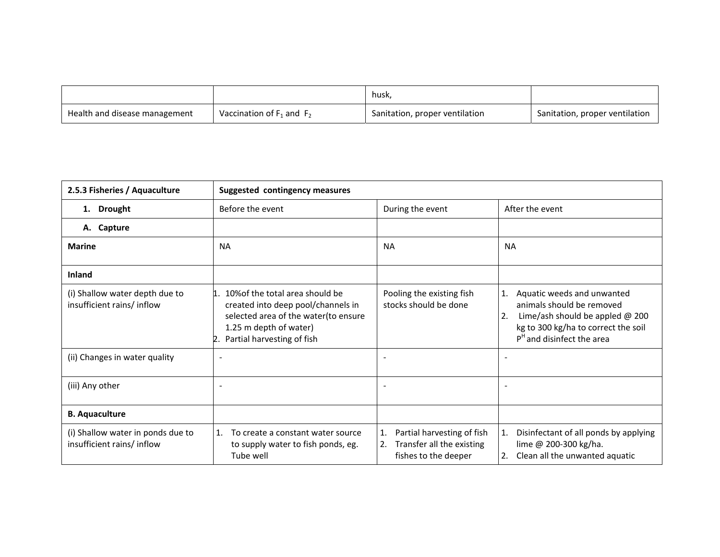|                               |                                | husk,                          |                                |
|-------------------------------|--------------------------------|--------------------------------|--------------------------------|
| Health and disease management | Vaccination of $F_1$ and $F_2$ | Sanitation, proper ventilation | Sanitation, proper ventilation |

| 2.5.3 Fisheries / Aquaculture                                  | <b>Suggested contingency measures</b>                                                                                                                                    |                                                                                             |                                                                                                                                                                                |  |  |
|----------------------------------------------------------------|--------------------------------------------------------------------------------------------------------------------------------------------------------------------------|---------------------------------------------------------------------------------------------|--------------------------------------------------------------------------------------------------------------------------------------------------------------------------------|--|--|
| <b>Drought</b><br>1.                                           | Before the event                                                                                                                                                         | During the event                                                                            | After the event                                                                                                                                                                |  |  |
| A. Capture                                                     |                                                                                                                                                                          |                                                                                             |                                                                                                                                                                                |  |  |
| <b>Marine</b>                                                  | <b>NA</b>                                                                                                                                                                | <b>NA</b>                                                                                   | <b>NA</b>                                                                                                                                                                      |  |  |
| <b>Inland</b>                                                  |                                                                                                                                                                          |                                                                                             |                                                                                                                                                                                |  |  |
| (i) Shallow water depth due to<br>insufficient rains/ inflow   | 1. 10% of the total area should be<br>created into deep pool/channels in<br>selected area of the water(to ensure<br>1.25 m depth of water)<br>Partial harvesting of fish | Pooling the existing fish<br>stocks should be done                                          | Aquatic weeds and unwanted<br>1.<br>animals should be removed<br>Lime/ash should be appled $@$ 200<br>2.<br>kg to 300 kg/ha to correct the soil<br>$PH$ and disinfect the area |  |  |
| (ii) Changes in water quality                                  | $\overline{\phantom{a}}$                                                                                                                                                 |                                                                                             |                                                                                                                                                                                |  |  |
| (iii) Any other                                                | $\overline{\phantom{a}}$                                                                                                                                                 |                                                                                             | ۰                                                                                                                                                                              |  |  |
| <b>B.</b> Aquaculture                                          |                                                                                                                                                                          |                                                                                             |                                                                                                                                                                                |  |  |
| (i) Shallow water in ponds due to<br>insufficient rains/inflow | To create a constant water source<br>1.<br>to supply water to fish ponds, eg.<br>Tube well                                                                               | Partial harvesting of fish<br>1.<br>Transfer all the existing<br>2.<br>fishes to the deeper | Disinfectant of all ponds by applying<br>1.<br>lime @ 200-300 kg/ha.<br>Clean all the unwanted aquatic<br>2.                                                                   |  |  |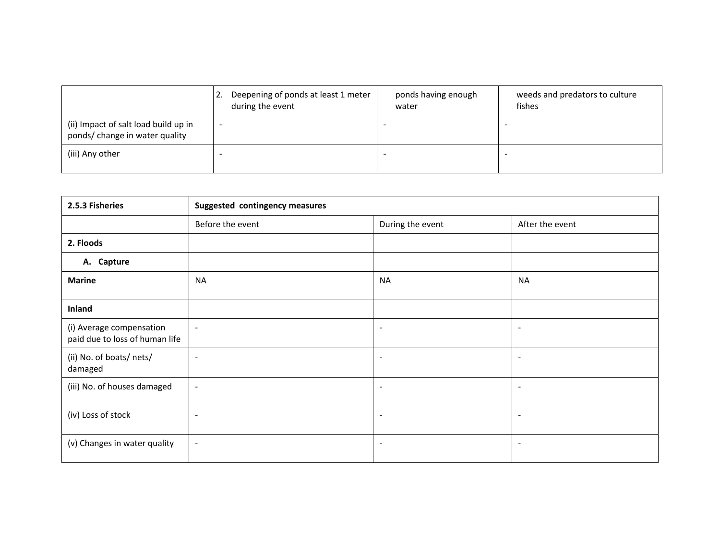|                                                                        |   | 12. Deepening of ponds at least 1 meter<br>during the event | ponds having enough<br>water | weeds and predators to culture<br>fishes |
|------------------------------------------------------------------------|---|-------------------------------------------------------------|------------------------------|------------------------------------------|
| (ii) Impact of salt load build up in<br>ponds/ change in water quality | - |                                                             |                              |                                          |
| (iii) Any other                                                        |   |                                                             |                              |                                          |

| 2.5.3 Fisheries                                            | Suggested contingency measures |                          |                          |  |  |
|------------------------------------------------------------|--------------------------------|--------------------------|--------------------------|--|--|
|                                                            | Before the event               | During the event         | After the event          |  |  |
| 2. Floods                                                  |                                |                          |                          |  |  |
| A. Capture                                                 |                                |                          |                          |  |  |
| <b>Marine</b>                                              | <b>NA</b>                      | <b>NA</b>                | <b>NA</b>                |  |  |
| Inland                                                     |                                |                          |                          |  |  |
| (i) Average compensation<br>paid due to loss of human life | $\sim$                         | $\overline{\phantom{a}}$ | $\overline{\phantom{a}}$ |  |  |
| (ii) No. of boats/ nets/<br>damaged                        | $\sim$                         | ۰.                       | $\overline{\phantom{a}}$ |  |  |
| (iii) No. of houses damaged                                | $\blacksquare$                 | $\overline{\phantom{a}}$ | $\overline{\phantom{a}}$ |  |  |
| (iv) Loss of stock                                         | $\overline{\phantom{a}}$       | $\overline{\phantom{a}}$ | $\overline{\phantom{a}}$ |  |  |
| (v) Changes in water quality                               | $\sim$                         | ۰.                       | $\overline{\phantom{a}}$ |  |  |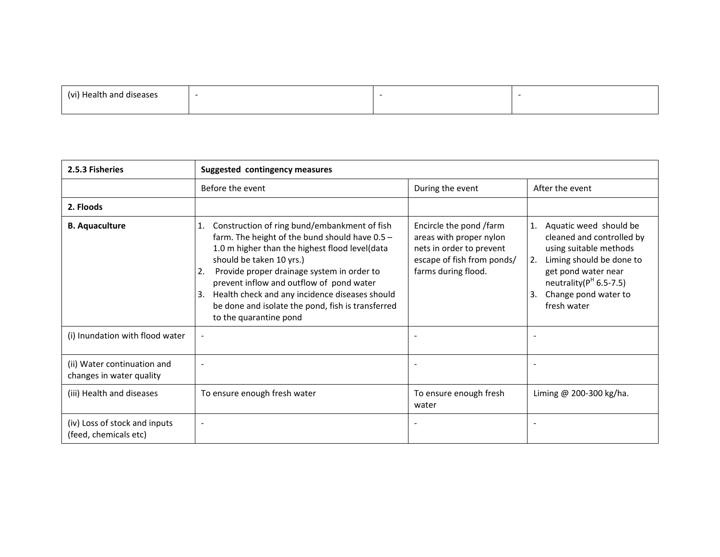| $\sim$ |  |  |
|--------|--|--|
|        |  |  |

| 2.5.3 Fisheries                                         | <b>Suggested contingency measures</b>                                                                                                                                                                                                                                                                                                                                                                                       |                                                                                                                                     |                                                                                                                                                                                                                        |
|---------------------------------------------------------|-----------------------------------------------------------------------------------------------------------------------------------------------------------------------------------------------------------------------------------------------------------------------------------------------------------------------------------------------------------------------------------------------------------------------------|-------------------------------------------------------------------------------------------------------------------------------------|------------------------------------------------------------------------------------------------------------------------------------------------------------------------------------------------------------------------|
|                                                         | Before the event                                                                                                                                                                                                                                                                                                                                                                                                            | During the event                                                                                                                    | After the event                                                                                                                                                                                                        |
| 2. Floods                                               |                                                                                                                                                                                                                                                                                                                                                                                                                             |                                                                                                                                     |                                                                                                                                                                                                                        |
| <b>B.</b> Aquaculture                                   | Construction of ring bund/embankment of fish<br>1.<br>farm. The height of the bund should have $0.5 -$<br>1.0 m higher than the highest flood level(data<br>should be taken 10 yrs.)<br>Provide proper drainage system in order to<br>2.<br>prevent inflow and outflow of pond water<br>Health check and any incidence diseases should<br>3.<br>be done and isolate the pond, fish is transferred<br>to the quarantine pond | Encircle the pond /farm<br>areas with proper nylon<br>nets in order to prevent<br>escape of fish from ponds/<br>farms during flood. | Aquatic weed should be<br>1.<br>cleaned and controlled by<br>using suitable methods<br>Liming should be done to<br>2.<br>get pond water near<br>neutrality( $PH$ 6.5-7.5)<br>Change pond water to<br>3.<br>fresh water |
| (i) Inundation with flood water                         | $\overline{\phantom{a}}$                                                                                                                                                                                                                                                                                                                                                                                                    | $\overline{\phantom{a}}$                                                                                                            |                                                                                                                                                                                                                        |
| (ii) Water continuation and<br>changes in water quality |                                                                                                                                                                                                                                                                                                                                                                                                                             |                                                                                                                                     |                                                                                                                                                                                                                        |
| (iii) Health and diseases                               | To ensure enough fresh water                                                                                                                                                                                                                                                                                                                                                                                                | To ensure enough fresh<br>water                                                                                                     | Liming @ 200-300 kg/ha.                                                                                                                                                                                                |
| (iv) Loss of stock and inputs<br>(feed, chemicals etc)  | $\overline{\phantom{a}}$                                                                                                                                                                                                                                                                                                                                                                                                    | $\overline{\phantom{0}}$                                                                                                            |                                                                                                                                                                                                                        |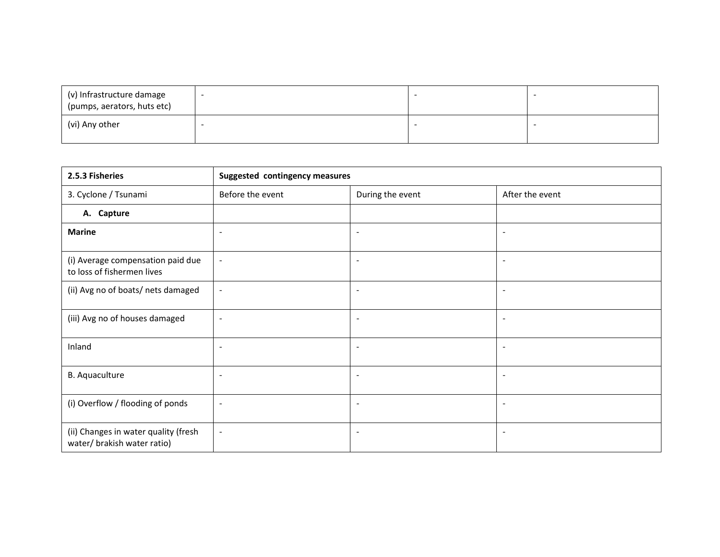| (v) Infrastructure damage<br>(pumps, aerators, huts etc) |  |  |
|----------------------------------------------------------|--|--|
| (vi) Any other                                           |  |  |

| 2.5.3 Fisheries                                                     | <b>Suggested contingency measures</b> |                          |                          |  |
|---------------------------------------------------------------------|---------------------------------------|--------------------------|--------------------------|--|
| 3. Cyclone / Tsunami                                                | Before the event                      | During the event         | After the event          |  |
| A. Capture                                                          |                                       |                          |                          |  |
| <b>Marine</b>                                                       | $\sim$                                | $\blacksquare$           | $\blacksquare$           |  |
| (i) Average compensation paid due<br>to loss of fishermen lives     |                                       | $\overline{\phantom{a}}$ |                          |  |
| (ii) Avg no of boats/ nets damaged                                  | $\blacksquare$                        | $\blacksquare$           |                          |  |
| (iii) Avg no of houses damaged                                      | $\overline{a}$                        | $\overline{\phantom{a}}$ |                          |  |
| Inland                                                              | $\overline{\phantom{a}}$              | $\blacksquare$           |                          |  |
| B. Aquaculture                                                      | $\sim$                                | $\sim$                   | $\overline{\phantom{a}}$ |  |
| (i) Overflow / flooding of ponds                                    | $\overline{\phantom{a}}$              | $\overline{\phantom{a}}$ |                          |  |
| (ii) Changes in water quality (fresh<br>water/ brakish water ratio) | $\blacksquare$                        | $\overline{\phantom{a}}$ |                          |  |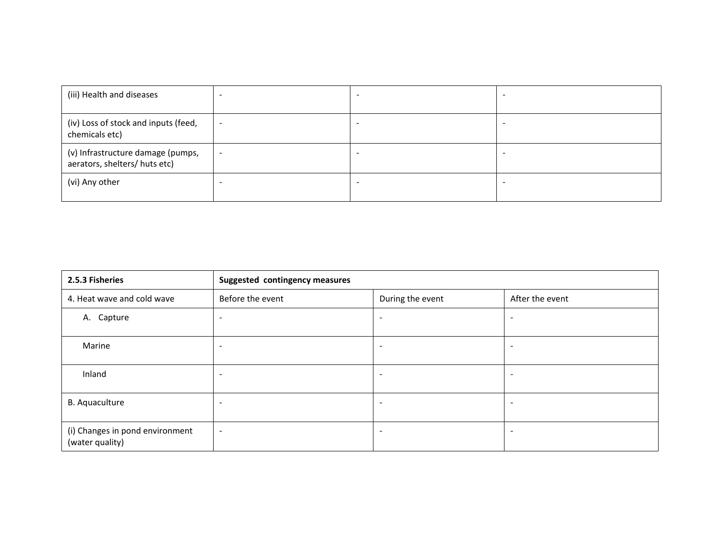| (iii) Health and diseases                                          |                          | -                        |  |
|--------------------------------------------------------------------|--------------------------|--------------------------|--|
| (iv) Loss of stock and inputs (feed,<br>chemicals etc)             | $\overline{\phantom{a}}$ | $\overline{\phantom{a}}$ |  |
| (v) Infrastructure damage (pumps,<br>aerators, shelters/ huts etc) | $\sim$                   | -                        |  |
| (vi) Any other                                                     |                          | -                        |  |

| 2.5.3 Fisheries                                    | <b>Suggested contingency measures</b> |                          |                          |  |
|----------------------------------------------------|---------------------------------------|--------------------------|--------------------------|--|
| 4. Heat wave and cold wave                         | Before the event                      | During the event         | After the event          |  |
| A. Capture                                         | $\overline{\phantom{a}}$              | $\overline{\phantom{a}}$ | $\overline{\phantom{a}}$ |  |
| Marine                                             | $\overline{\phantom{a}}$              |                          | $\overline{\phantom{a}}$ |  |
| Inland                                             | $\overline{\phantom{a}}$              |                          | $\overline{\phantom{a}}$ |  |
| <b>B.</b> Aquaculture                              | $\overline{\phantom{a}}$              |                          | $\overline{\phantom{a}}$ |  |
| (i) Changes in pond environment<br>(water quality) | $\overline{\phantom{a}}$              | $\overline{\phantom{a}}$ | $\overline{\phantom{a}}$ |  |